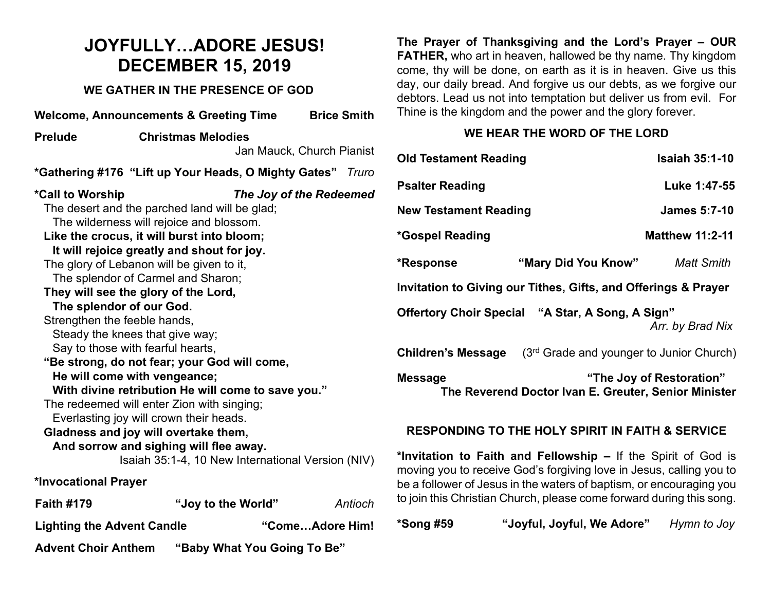### **JOYFULLY…ADORE JESUS! DECEMBER 15, 2019**

#### **WE GATHER IN THE PRESENCE OF GOD**

|                                                                              | <b>Welcome, Announcements &amp; Greeting Time</b>                                                                                                                                                                                                                                                                                                                                                                                                                                                                                                                                                                                                                                                                                                              | <b>Brice Smith</b>        |  |  |  |
|------------------------------------------------------------------------------|----------------------------------------------------------------------------------------------------------------------------------------------------------------------------------------------------------------------------------------------------------------------------------------------------------------------------------------------------------------------------------------------------------------------------------------------------------------------------------------------------------------------------------------------------------------------------------------------------------------------------------------------------------------------------------------------------------------------------------------------------------------|---------------------------|--|--|--|
| <b>Prelude</b>                                                               | <b>Christmas Melodies</b>                                                                                                                                                                                                                                                                                                                                                                                                                                                                                                                                                                                                                                                                                                                                      |                           |  |  |  |
|                                                                              |                                                                                                                                                                                                                                                                                                                                                                                                                                                                                                                                                                                                                                                                                                                                                                | Jan Mauck, Church Pianist |  |  |  |
| *Gathering #176 "Lift up Your Heads, O Mighty Gates"<br>Truro                |                                                                                                                                                                                                                                                                                                                                                                                                                                                                                                                                                                                                                                                                                                                                                                |                           |  |  |  |
| *Call to Worship<br>The splendor of our God.<br>Strengthen the feeble hands, | The desert and the parched land will be glad;<br>The wilderness will rejoice and blossom.<br>Like the crocus, it will burst into bloom;<br>It will rejoice greatly and shout for joy.<br>The glory of Lebanon will be given to it,<br>The splendor of Carmel and Sharon;<br>They will see the glory of the Lord,<br>Steady the knees that give way;<br>Say to those with fearful hearts,<br>"Be strong, do not fear; your God will come,<br>He will come with vengeance;<br>With divine retribution He will come to save you."<br>The redeemed will enter Zion with singing;<br>Everlasting joy will crown their heads.<br>Gladness and joy will overtake them,<br>And sorrow and sighing will flee away.<br>Isaiah 35:1-4, 10 New International Version (NIV) | The Joy of the Redeemed   |  |  |  |
| *Invocational Prayer                                                         |                                                                                                                                                                                                                                                                                                                                                                                                                                                                                                                                                                                                                                                                                                                                                                |                           |  |  |  |
| <b>Faith #179</b>                                                            | "Joy to the World"                                                                                                                                                                                                                                                                                                                                                                                                                                                                                                                                                                                                                                                                                                                                             | Antioch                   |  |  |  |
| "ComeAdore Him!<br><b>Lighting the Advent Candle</b>                         |                                                                                                                                                                                                                                                                                                                                                                                                                                                                                                                                                                                                                                                                                                                                                                |                           |  |  |  |
| <b>Advent Choir Anthem</b>                                                   | "Baby What You Going To Be"                                                                                                                                                                                                                                                                                                                                                                                                                                                                                                                                                                                                                                                                                                                                    |                           |  |  |  |

**The Prayer of Thanksgiving and the Lord's Prayer – OUR FATHER,** who art in heaven, hallowed be thy name. Thy kingdom come, thy will be done, on earth as it is in heaven. Give us this day, our daily bread. And forgive us our debts, as we forgive our debtors. Lead us not into temptation but deliver us from evil. For Thine is the kingdom and the power and the glory forever.

#### **WE HEAR THE WORD OF THE LORD**

| <b>Old Testament Reading</b>                                                                                                                                                                                                                                                        | <b>Isaiah 35:1-10</b>    |  |  |
|-------------------------------------------------------------------------------------------------------------------------------------------------------------------------------------------------------------------------------------------------------------------------------------|--------------------------|--|--|
| <b>Psalter Reading</b>                                                                                                                                                                                                                                                              | Luke 1:47-55             |  |  |
| <b>New Testament Reading</b>                                                                                                                                                                                                                                                        | <b>James 5:7-10</b>      |  |  |
| *Gospel Reading                                                                                                                                                                                                                                                                     | <b>Matthew 11:2-11</b>   |  |  |
| "Mary Did You Know"<br>*Response                                                                                                                                                                                                                                                    | <b>Matt Smith</b>        |  |  |
| Invitation to Giving our Tithes, Gifts, and Offerings & Prayer                                                                                                                                                                                                                      |                          |  |  |
| Offertory Choir Special "A Star, A Song, A Sign"                                                                                                                                                                                                                                    | Arr. by Brad Nix         |  |  |
| (3 <sup>rd</sup> Grade and younger to Junior Church)<br><b>Children's Message</b>                                                                                                                                                                                                   |                          |  |  |
| <b>Message</b><br>The Reverend Doctor Ivan E. Greuter, Senior Minister                                                                                                                                                                                                              | "The Joy of Restoration" |  |  |
| <b>RESPONDING TO THE HOLY SPIRIT IN FAITH &amp; SERVICE</b>                                                                                                                                                                                                                         |                          |  |  |
| *Invitation to Faith and Fellowship - If the Spirit of God is<br>moving you to receive God's forgiving love in Jesus, calling you to<br>be a follower of Jesus in the waters of baptism, or encouraging you<br>to join this Christian Church, please come forward during this song. |                          |  |  |

| *Song #59 | "Joyful, Joyful, We Adore" | Hymn to Joy |
|-----------|----------------------------|-------------|
|           |                            |             |